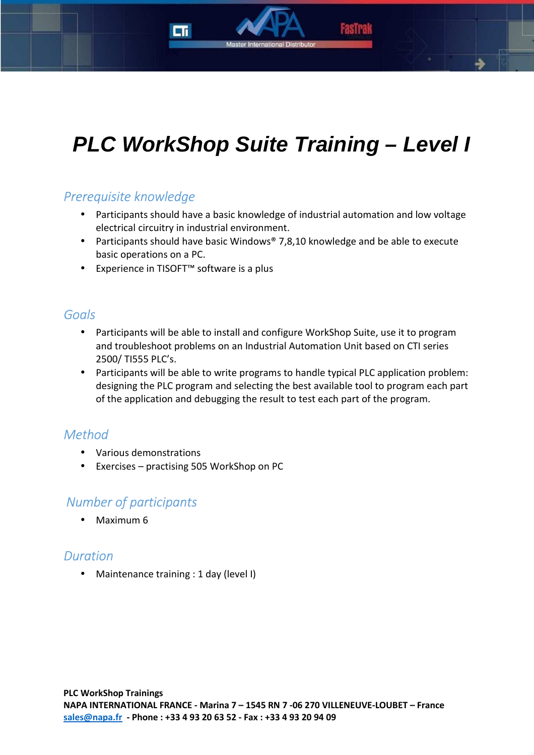# **PLC WorkShop Suite Training – Level I**

### *Prerequisite knowledge*

- Participants should have a basic knowledge of industrial automation and low voltage electrical circuitry in industrial environment.
- Participants should have basic Windows® 7,8,10 knowledge and be able to execute basic operations on a PC.
- Experience in TISOFT™ software is a plus

#### *Goals*

- Participants will be able to install and configure WorkShop Suite, use it to program and troubleshoot problems on an Industrial Automation Unit based on CTI series 2500/ TI555 PLC's.
- Participants will be able to write programs to handle typical PLC application problem: designing the PLC program and selecting the best available tool to program each part of the application and debugging the result to test each part of the program.

### *Method*

- Various demonstrations
- Exercises practising 505 WorkShop on PC

#### *Number of participants*

• Maximum 6

#### *Duration*

• Maintenance training : 1 day (level I)